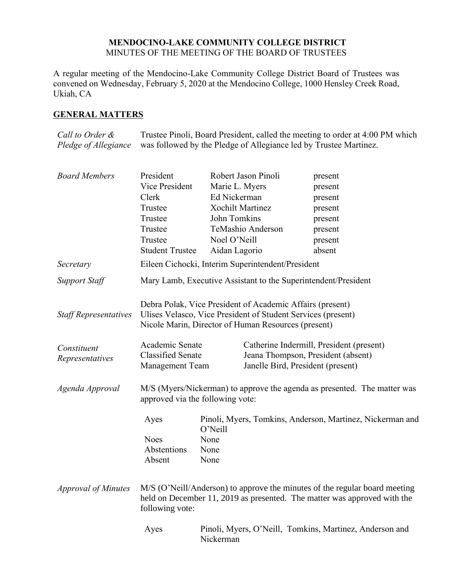## **MENDOCINO-LAKE COMMUNITY COLLEGE DISTRICT** MINUTES OF THE MEETING OF THE BOARD OF TRUSTEES

A regular meeting of the Mendocino-Lake Community College District Board of Trustees was convened on Wednesday, February 5, 2020 at the Mendocino College, 1000 Hensley Creek Road, Ukiah, CA

# **GENERAL MATTERS**

*Call to Order & Pledge of Allegiance* Trustee Pinoli, Board President, called the meeting to order at 4:00 PM which was followed by the Pledge of Allegiance led by Trustee Martinez.

| <b>Board Members</b>         | President                                                                                                                                                                        |                                                                      | Robert Jason Pinoli                               | present                                  |
|------------------------------|----------------------------------------------------------------------------------------------------------------------------------------------------------------------------------|----------------------------------------------------------------------|---------------------------------------------------|------------------------------------------|
|                              | Vice President                                                                                                                                                                   | Marie L. Myers                                                       |                                                   | present                                  |
|                              | Clerk                                                                                                                                                                            | Ed Nickerman                                                         |                                                   | present                                  |
|                              | Trustee                                                                                                                                                                          | <b>Xochilt Martinez</b>                                              |                                                   | present                                  |
|                              | Trustee                                                                                                                                                                          | John Tomkins                                                         |                                                   | present                                  |
|                              | Trustee                                                                                                                                                                          |                                                                      | TeMashio Anderson                                 | present                                  |
|                              | Trustee                                                                                                                                                                          | Noel O'Neill                                                         |                                                   | present                                  |
|                              | <b>Student Trustee</b>                                                                                                                                                           | Aidan Lagorio                                                        |                                                   | absent                                   |
| Secretary                    |                                                                                                                                                                                  |                                                                      | Eileen Cichocki, Interim Superintendent/President |                                          |
| <b>Support Staff</b>         | Mary Lamb, Executive Assistant to the Superintendent/President                                                                                                                   |                                                                      |                                                   |                                          |
| <b>Staff Representatives</b> | Debra Polak, Vice President of Academic Affairs (present)<br>Ulises Velasco, Vice President of Student Services (present)<br>Nicole Marin, Director of Human Resources (present) |                                                                      |                                                   |                                          |
| Constituent                  | Academic Senate                                                                                                                                                                  |                                                                      |                                                   | Catherine Indermill, President (present) |
| Representatives              | <b>Classified Senate</b>                                                                                                                                                         |                                                                      | Jeana Thompson, President (absent)                |                                          |
|                              | <b>Management Team</b>                                                                                                                                                           |                                                                      | Janelle Bird, President (present)                 |                                          |
| Agenda Approval              | M/S (Myers/Nickerman) to approve the agenda as presented. The matter was<br>approved via the following vote:                                                                     |                                                                      |                                                   |                                          |
|                              | Ayes                                                                                                                                                                             | Pinoli, Myers, Tomkins, Anderson, Martinez, Nickerman and<br>O'Neill |                                                   |                                          |
|                              | <b>Noes</b>                                                                                                                                                                      | None                                                                 |                                                   |                                          |
|                              | Abstentions                                                                                                                                                                      | None                                                                 |                                                   |                                          |
|                              | Absent                                                                                                                                                                           | None                                                                 |                                                   |                                          |
| <b>Approval of Minutes</b>   | M/S (O'Neill/Anderson) to approve the minutes of the regular board meeting<br>held on December 11, 2019 as presented. The matter was approved with the<br>following vote:        |                                                                      |                                                   |                                          |
|                              | Ayes                                                                                                                                                                             | Pinoli, Myers, O'Neill, Tomkins, Martinez, Anderson and<br>Nickerman |                                                   |                                          |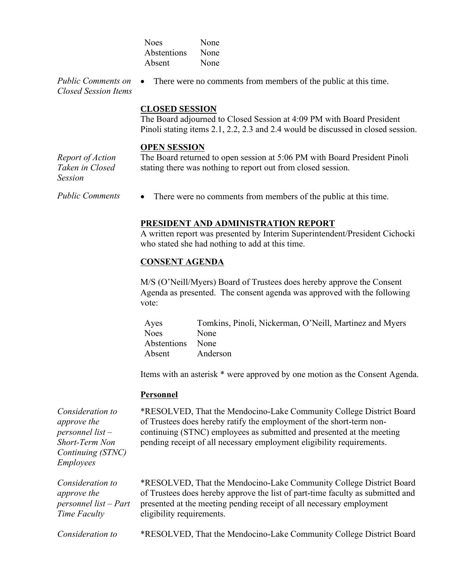| None |
|------|
| None |
| None |
|      |

*Public Comments on Closed Session Items* There were no comments from members of the public at this time.

# **CLOSED SESSION**

The Board adjourned to Closed Session at 4:09 PM with Board President Pinoli stating items 2.1, 2.2, 2.3 and 2.4 would be discussed in closed session.

### **OPEN SESSION**

*Report of Action Taken in Closed Session*

The Board returned to open session at 5:06 PM with Board President Pinoli stating there was nothing to report out from closed session.

*Public Comments* • There were no comments from members of the public at this time.

## **PRESIDENT AND ADMINISTRATION REPORT**

A written report was presented by Interim Superintendent/President Cichocki who stated she had nothing to add at this time.

### **CONSENT AGENDA**

M/S (O'Neill/Myers) Board of Trustees does hereby approve the Consent Agenda as presented. The consent agenda was approved with the following vote:

Ayes Tomkins, Pinoli, Nickerman, O'Neill, Martinez and Myers Noes None Abstentions None Absent Anderson

Items with an asterisk \* were approved by one motion as the Consent Agenda.

### **Personnel**

*Consideration to approve the personnel list – Short-Term Non Continuing (STNC) Employees*

\*RESOLVED, That the Mendocino-Lake Community College District Board of Trustees does hereby ratify the employment of the short-term noncontinuing (STNC) employees as submitted and presented at the meeting pending receipt of all necessary employment eligibility requirements.

*Consideration to approve the personnel list – Part Time Faculty*

\*RESOLVED, That the Mendocino-Lake Community College District Board of Trustees does hereby approve the list of part-time faculty as submitted and presented at the meeting pending receipt of all necessary employment eligibility requirements.

*Consideration to* \*RESOLVED, That the Mendocino-Lake Community College District Board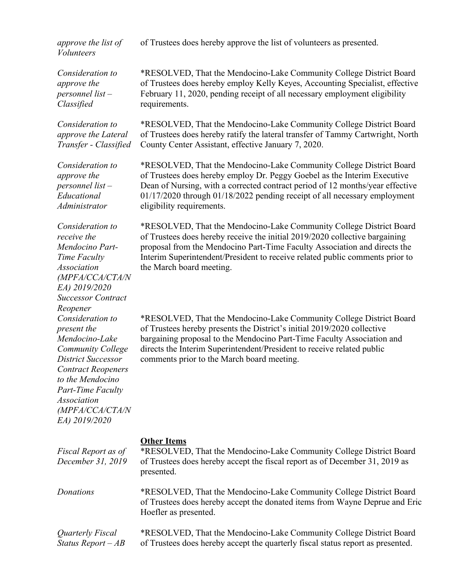*approve the list of Volunteers*

of Trustees does hereby approve the list of volunteers as presented.

*Consideration to approve the personnel list – Classified*

*Consideration to approve the Lateral Transfer - Classified*

*Consideration to approve the personnel list – Educational Administrator*

*Consideration to receive the Mendocino Part-Time Faculty Association (MPFA/CCA/CTA/N EA) 2019/2020 Successor Contract Reopener Consideration to present the Mendocino-Lake Community College District Successor Contract Reopeners to the Mendocino Part-Time Faculty Association (MPFA/CCA/CTA/N EA) 2019/2020*

\*RESOLVED, That the Mendocino-Lake Community College District Board of Trustees does hereby employ Kelly Keyes, Accounting Specialist, effective February 11, 2020, pending receipt of all necessary employment eligibility requirements.

\*RESOLVED, That the Mendocino-Lake Community College District Board of Trustees does hereby ratify the lateral transfer of Tammy Cartwright, North County Center Assistant, effective January 7, 2020.

\*RESOLVED, That the Mendocino-Lake Community College District Board of Trustees does hereby employ Dr. Peggy Goebel as the Interim Executive Dean of Nursing, with a corrected contract period of 12 months/year effective 01/17/2020 through 01/18/2022 pending receipt of all necessary employment eligibility requirements.

\*RESOLVED, That the Mendocino-Lake Community College District Board of Trustees does hereby receive the initial 2019/2020 collective bargaining proposal from the Mendocino Part-Time Faculty Association and directs the Interim Superintendent/President to receive related public comments prior to the March board meeting.

\*RESOLVED, That the Mendocino-Lake Community College District Board of Trustees hereby presents the District's initial 2019/2020 collective bargaining proposal to the Mendocino Part-Time Faculty Association and directs the Interim Superintendent/President to receive related public comments prior to the March board meeting.

## **Other Items**

| Fiscal Report as of<br>December 31, 2019 | *RESOLVED, That the Mendocino-Lake Community College District Board<br>of Trustees does hereby accept the fiscal report as of December 31, 2019 as<br>presented.            |
|------------------------------------------|-----------------------------------------------------------------------------------------------------------------------------------------------------------------------------|
| Donations                                | *RESOLVED, That the Mendocino-Lake Community College District Board<br>of Trustees does hereby accept the donated items from Wayne Deprue and Eric<br>Hoefler as presented. |
| Quarterly Fiscal<br>Status Report $-AB$  | *RESOLVED, That the Mendocino-Lake Community College District Board<br>of Trustees does hereby accept the quarterly fiscal status report as presented.                      |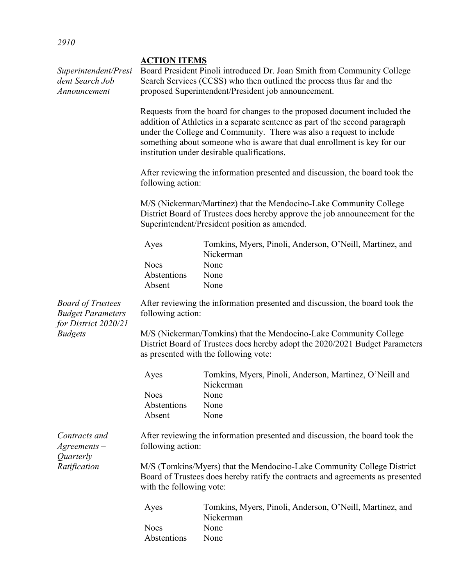| Superintendent/Presi<br>dent Search Job<br>Announcement                      | <b>ACTION ITEMS</b><br>Board President Pinoli introduced Dr. Joan Smith from Community College<br>Search Services (CCSS) who then outlined the process thus far and the<br>proposed Superintendent/President job announcement.<br>Requests from the board for changes to the proposed document included the<br>addition of Athletics in a separate sentence as part of the second paragraph<br>under the College and Community. There was also a request to include<br>something about someone who is aware that dual enrollment is key for our<br>institution under desirable qualifications.<br>After reviewing the information presented and discussion, the board took the<br>following action:<br>M/S (Nickerman/Martinez) that the Mendocino-Lake Community College<br>District Board of Trustees does hereby approve the job announcement for the<br>Superintendent/President position as amended. |                                                                       |  |  |  |                                      |                                                                       |
|------------------------------------------------------------------------------|-----------------------------------------------------------------------------------------------------------------------------------------------------------------------------------------------------------------------------------------------------------------------------------------------------------------------------------------------------------------------------------------------------------------------------------------------------------------------------------------------------------------------------------------------------------------------------------------------------------------------------------------------------------------------------------------------------------------------------------------------------------------------------------------------------------------------------------------------------------------------------------------------------------|-----------------------------------------------------------------------|--|--|--|--------------------------------------|-----------------------------------------------------------------------|
|                                                                              |                                                                                                                                                                                                                                                                                                                                                                                                                                                                                                                                                                                                                                                                                                                                                                                                                                                                                                           |                                                                       |  |  |  |                                      |                                                                       |
|                                                                              |                                                                                                                                                                                                                                                                                                                                                                                                                                                                                                                                                                                                                                                                                                                                                                                                                                                                                                           |                                                                       |  |  |  | Ayes                                 | Tomkins, Myers, Pinoli, Anderson, O'Neill, Martinez, and<br>Nickerman |
|                                                                              |                                                                                                                                                                                                                                                                                                                                                                                                                                                                                                                                                                                                                                                                                                                                                                                                                                                                                                           |                                                                       |  |  |  | <b>Noes</b><br>Abstentions<br>Absent | None<br>None<br>None                                                  |
| <b>Board of Trustees</b><br><b>Budget Parameters</b><br>for District 2020/21 | After reviewing the information presented and discussion, the board took the<br>following action:                                                                                                                                                                                                                                                                                                                                                                                                                                                                                                                                                                                                                                                                                                                                                                                                         |                                                                       |  |  |  |                                      |                                                                       |
| <b>Budgets</b>                                                               | M/S (Nickerman/Tomkins) that the Mendocino-Lake Community College<br>District Board of Trustees does hereby adopt the 2020/2021 Budget Parameters<br>as presented with the following vote:                                                                                                                                                                                                                                                                                                                                                                                                                                                                                                                                                                                                                                                                                                                |                                                                       |  |  |  |                                      |                                                                       |
|                                                                              | Ayes                                                                                                                                                                                                                                                                                                                                                                                                                                                                                                                                                                                                                                                                                                                                                                                                                                                                                                      | Tomkins, Myers, Pinoli, Anderson, Martinez, O'Neill and<br>Nickerman  |  |  |  |                                      |                                                                       |
|                                                                              | <b>Noes</b><br>Abstentions<br>Absent                                                                                                                                                                                                                                                                                                                                                                                                                                                                                                                                                                                                                                                                                                                                                                                                                                                                      | None<br>None<br>None                                                  |  |  |  |                                      |                                                                       |
| Contracts and<br>$A$ greements $-$<br>Quarterly<br>Ratification              | After reviewing the information presented and discussion, the board took the<br>following action:                                                                                                                                                                                                                                                                                                                                                                                                                                                                                                                                                                                                                                                                                                                                                                                                         |                                                                       |  |  |  |                                      |                                                                       |
|                                                                              | M/S (Tomkins/Myers) that the Mendocino-Lake Community College District<br>Board of Trustees does hereby ratify the contracts and agreements as presented<br>with the following vote:                                                                                                                                                                                                                                                                                                                                                                                                                                                                                                                                                                                                                                                                                                                      |                                                                       |  |  |  |                                      |                                                                       |
|                                                                              | Ayes                                                                                                                                                                                                                                                                                                                                                                                                                                                                                                                                                                                                                                                                                                                                                                                                                                                                                                      | Tomkins, Myers, Pinoli, Anderson, O'Neill, Martinez, and<br>Nickerman |  |  |  |                                      |                                                                       |
|                                                                              | <b>Noes</b><br>Abstentions                                                                                                                                                                                                                                                                                                                                                                                                                                                                                                                                                                                                                                                                                                                                                                                                                                                                                | None<br>None                                                          |  |  |  |                                      |                                                                       |
|                                                                              |                                                                                                                                                                                                                                                                                                                                                                                                                                                                                                                                                                                                                                                                                                                                                                                                                                                                                                           |                                                                       |  |  |  |                                      |                                                                       |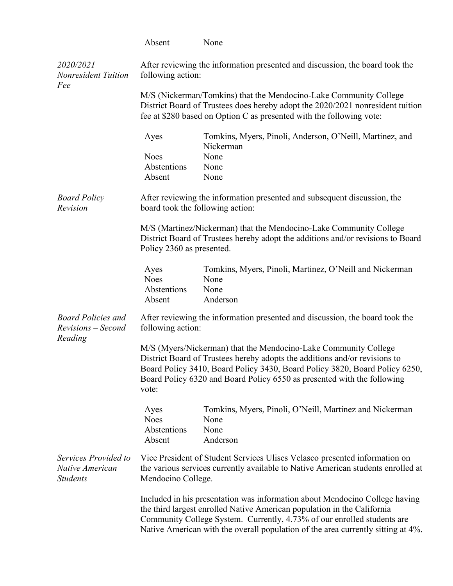|                                                            | Absent                                                                                                                                                                                                                                                                                                           | None                                                                                                                                                                                                                                                                                                                  |  |
|------------------------------------------------------------|------------------------------------------------------------------------------------------------------------------------------------------------------------------------------------------------------------------------------------------------------------------------------------------------------------------|-----------------------------------------------------------------------------------------------------------------------------------------------------------------------------------------------------------------------------------------------------------------------------------------------------------------------|--|
| 2020/2021<br><b>Nonresident Tuition</b><br>Fee             | After reviewing the information presented and discussion, the board took the<br>following action:                                                                                                                                                                                                                |                                                                                                                                                                                                                                                                                                                       |  |
|                                                            |                                                                                                                                                                                                                                                                                                                  | M/S (Nickerman/Tomkins) that the Mendocino-Lake Community College<br>District Board of Trustees does hereby adopt the 2020/2021 nonresident tuition<br>fee at \$280 based on Option C as presented with the following vote:                                                                                           |  |
|                                                            | Ayes                                                                                                                                                                                                                                                                                                             | Tomkins, Myers, Pinoli, Anderson, O'Neill, Martinez, and<br>Nickerman                                                                                                                                                                                                                                                 |  |
|                                                            | <b>Noes</b><br>Abstentions<br>Absent                                                                                                                                                                                                                                                                             | None<br>None<br>None                                                                                                                                                                                                                                                                                                  |  |
| <b>Board Policy</b><br>Revision                            | After reviewing the information presented and subsequent discussion, the<br>board took the following action:                                                                                                                                                                                                     |                                                                                                                                                                                                                                                                                                                       |  |
|                                                            | Policy 2360 as presented.                                                                                                                                                                                                                                                                                        | M/S (Martinez/Nickerman) that the Mendocino-Lake Community College<br>District Board of Trustees hereby adopt the additions and/or revisions to Board                                                                                                                                                                 |  |
|                                                            | Ayes<br><b>Noes</b><br>Abstentions<br>Absent                                                                                                                                                                                                                                                                     | Tomkins, Myers, Pinoli, Martinez, O'Neill and Nickerman<br>None<br>None<br>Anderson                                                                                                                                                                                                                                   |  |
| <b>Board Policies and</b><br>Revisions – Second<br>Reading | After reviewing the information presented and discussion, the board took the<br>following action:                                                                                                                                                                                                                |                                                                                                                                                                                                                                                                                                                       |  |
|                                                            | M/S (Myers/Nickerman) that the Mendocino-Lake Community College<br>District Board of Trustees hereby adopts the additions and/or revisions to<br>Board Policy 3410, Board Policy 3430, Board Policy 3820, Board Policy 6250,<br>Board Policy 6320 and Board Policy 6550 as presented with the following<br>vote: |                                                                                                                                                                                                                                                                                                                       |  |
|                                                            | Ayes<br><b>Noes</b><br>Abstentions<br>Absent                                                                                                                                                                                                                                                                     | Tomkins, Myers, Pinoli, O'Neill, Martinez and Nickerman<br>None<br>None<br>Anderson                                                                                                                                                                                                                                   |  |
| Services Provided to<br>Native American<br><b>Students</b> | Mendocino College.                                                                                                                                                                                                                                                                                               | Vice President of Student Services Ulises Velasco presented information on<br>the various services currently available to Native American students enrolled at                                                                                                                                                        |  |
|                                                            |                                                                                                                                                                                                                                                                                                                  | Included in his presentation was information about Mendocino College having<br>the third largest enrolled Native American population in the California<br>Community College System. Currently, 4.73% of our enrolled students are<br>Native American with the overall population of the area currently sitting at 4%. |  |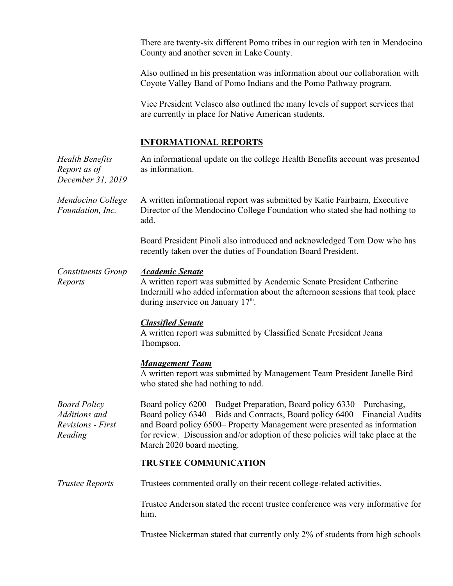There are twenty-six different Pomo tribes in our region with ten in Mendocino County and another seven in Lake County.

Also outlined in his presentation was information about our collaboration with Coyote Valley Band of Pomo Indians and the Pomo Pathway program.

Vice President Velasco also outlined the many levels of support services that are currently in place for Native American students.

# **INFORMATIONAL REPORTS**

| <b>Health Benefits</b><br>Report as of<br>December 31, 2019                 | An informational update on the college Health Benefits account was presented<br>as information.                                                                                                                                                                                                                                                     |
|-----------------------------------------------------------------------------|-----------------------------------------------------------------------------------------------------------------------------------------------------------------------------------------------------------------------------------------------------------------------------------------------------------------------------------------------------|
| Mendocino College<br>Foundation, Inc.                                       | A written informational report was submitted by Katie Fairbairn, Executive<br>Director of the Mendocino College Foundation who stated she had nothing to<br>add.                                                                                                                                                                                    |
|                                                                             | Board President Pinoli also introduced and acknowledged Tom Dow who has<br>recently taken over the duties of Foundation Board President.                                                                                                                                                                                                            |
| <b>Constituents Group</b><br>Reports                                        | <b>Academic Senate</b><br>A written report was submitted by Academic Senate President Catherine<br>Indermill who added information about the afternoon sessions that took place<br>during inservice on January $17th$ .                                                                                                                             |
|                                                                             | <b>Classified Senate</b><br>A written report was submitted by Classified Senate President Jeana<br>Thompson.                                                                                                                                                                                                                                        |
|                                                                             | <b>Management Team</b><br>A written report was submitted by Management Team President Janelle Bird<br>who stated she had nothing to add.                                                                                                                                                                                                            |
| <b>Board Policy</b><br>Additions and<br><b>Revisions</b> - First<br>Reading | Board policy 6200 – Budget Preparation, Board policy 6330 – Purchasing,<br>Board policy 6340 - Bids and Contracts, Board policy 6400 - Financial Audits<br>and Board policy 6500- Property Management were presented as information<br>for review. Discussion and/or adoption of these policies will take place at the<br>March 2020 board meeting. |
|                                                                             | <b>TRUSTEE COMMUNICATION</b>                                                                                                                                                                                                                                                                                                                        |
| <b>Trustee Reports</b>                                                      | Trustees commented orally on their recent college-related activities.                                                                                                                                                                                                                                                                               |
|                                                                             | Trustee Anderson stated the recent trustee conference was very informative for<br>him.                                                                                                                                                                                                                                                              |
|                                                                             | Trustee Nickerman stated that currently only 2% of students from high schools                                                                                                                                                                                                                                                                       |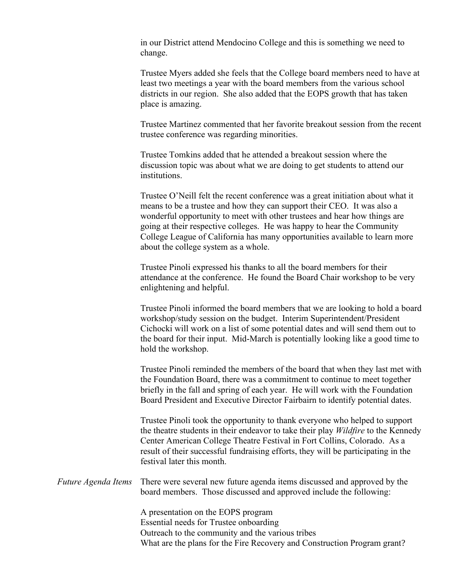in our District attend Mendocino College and this is something we need to change.

Trustee Myers added she feels that the College board members need to have at least two meetings a year with the board members from the various school districts in our region. She also added that the EOPS growth that has taken place is amazing.

Trustee Martinez commented that her favorite breakout session from the recent trustee conference was regarding minorities.

Trustee Tomkins added that he attended a breakout session where the discussion topic was about what we are doing to get students to attend our institutions.

Trustee O'Neill felt the recent conference was a great initiation about what it means to be a trustee and how they can support their CEO. It was also a wonderful opportunity to meet with other trustees and hear how things are going at their respective colleges. He was happy to hear the Community College League of California has many opportunities available to learn more about the college system as a whole.

Trustee Pinoli expressed his thanks to all the board members for their attendance at the conference. He found the Board Chair workshop to be very enlightening and helpful.

Trustee Pinoli informed the board members that we are looking to hold a board workshop/study session on the budget. Interim Superintendent/President Cichocki will work on a list of some potential dates and will send them out to the board for their input. Mid-March is potentially looking like a good time to hold the workshop.

Trustee Pinoli reminded the members of the board that when they last met with the Foundation Board, there was a commitment to continue to meet together briefly in the fall and spring of each year. He will work with the Foundation Board President and Executive Director Fairbairn to identify potential dates.

Trustee Pinoli took the opportunity to thank everyone who helped to support the theatre students in their endeavor to take their play *Wildfire* to the Kennedy Center American College Theatre Festival in Fort Collins, Colorado. As a result of their successful fundraising efforts, they will be participating in the festival later this month.

*Future Agenda Items* There were several new future agenda items discussed and approved by the board members. Those discussed and approved include the following:

> A presentation on the EOPS program Essential needs for Trustee onboarding Outreach to the community and the various tribes What are the plans for the Fire Recovery and Construction Program grant?